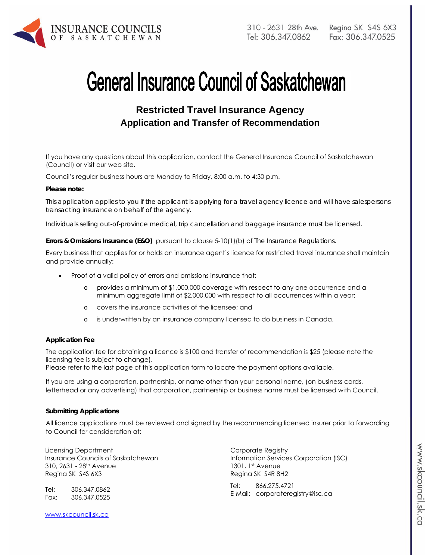

# **General Insurance Council of Saskatchewan**

# **Restricted Travel Insurance Agency Application and Transfer of Recommendation**

If you have any questions about this application, contact the General Insurance Council of Saskatchewan (Council) or visit our web site.

Council's regular business hours are Monday to Friday, 8:00 a.m. to 4:30 p.m.

#### *Please note:*

*This application applies to you if the applicant is applying for a travel agency licence and will have salespersons transacting insurance on behalf of the agency.* 

*Individuals selling out-of-province medical, trip cancellation and baggage insurance must be licensed.* 

**Errors & Omissions Insurance (E&O)** pursuant to clause 5-10(1)(b) of *The Insurance Regulations.* 

Every business that applies for or holds an insurance agent's licence for restricted travel insurance shall maintain and provide annually:

- Proof of a valid policy of errors and omissions insurance that:
	- o provides a minimum of \$1,000,000 coverage with respect to any one occurrence and a minimum aggregate limit of \$2,000,000 with respect to all occurrences within a year;
	- o covers the insurance activities of the licensee; and
	- o is underwritten by an insurance company licensed to do business in Canada.

#### **Application Fee**

The application fee for obtaining a licence is \$100 and transfer of recommendation is \$25 (please note the licensing fee is subject to change).

Please refer to the last page of this application form to locate the payment options available.

If you are using a corporation, partnership, or name other than your personal name, (on business cards, letterhead or any advertising) that corporation, partnership or business name must be licensed with Council.

#### **Submitting Applications**

All licence applications must be reviewed and signed by the recommending licensed insurer prior to forwarding to Council for consideration at:

Licensing Department Insurance Councils of Saskatchewan 310, 2631 - 28th Avenue Regina SK S4S 6X3

Tel: 306.347.0862 Fax: 306.347.0525 Corporate Registry Information Services Corporation (ISC) 1301, 1st Avenue Regina SK S4R 8H2

Tel: 866.275.4721 E-Mail: corporateregistry@isc.ca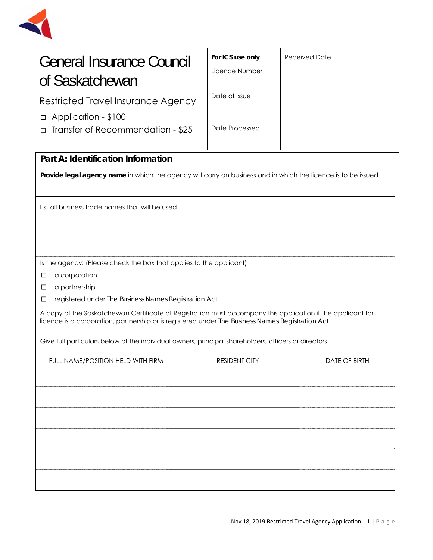

# General Insurance Council of Saskatchewan

Restricted Travel Insurance Agency

- □ Application \$100
- □ Transfer of Recommendation \$25

| For ICS use only | <b>Received Date</b> |
|------------------|----------------------|
| Licence Number   |                      |
| Date of Issue    |                      |
| Date Processed   |                      |

### **Part A: Identification Information**

**Provide legal agency name** in which the agency will carry on business and in which the licence is to be issued.

List all business trade names that will be used.

Is the agency: (Please check the box that applies to the applicant)

□ a corporation

□ a partnership

□ registered under *The Business Names Registration Act*

A copy of the Saskatchewan Certificate of Registration must accompany this application if the applicant for licence is a corporation, partnership or is registered under *The Business Names Registration Act.* 

Give full particulars below of the individual owners, principal shareholders, officers or directors.

| FULL NAME/POSITION HELD WITH FIRM | <b>RESIDENT CITY</b> | DATE OF BIRTH |
|-----------------------------------|----------------------|---------------|
|                                   |                      |               |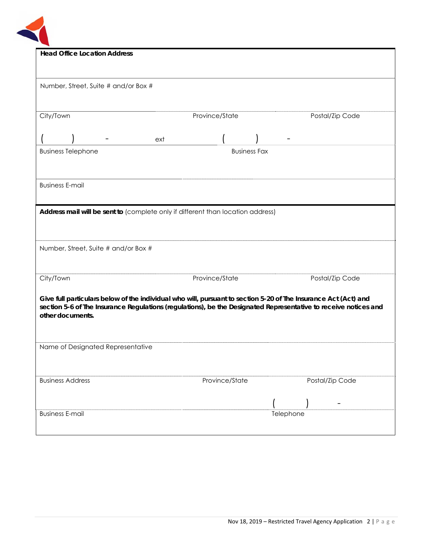

| <b>Head Office Location Address</b>                                                                             |                     |                 |  |
|-----------------------------------------------------------------------------------------------------------------|---------------------|-----------------|--|
|                                                                                                                 |                     |                 |  |
|                                                                                                                 |                     |                 |  |
| Number, Street, Suite # and/or Box #                                                                            |                     |                 |  |
|                                                                                                                 |                     |                 |  |
|                                                                                                                 |                     |                 |  |
|                                                                                                                 |                     |                 |  |
| City/Town                                                                                                       | Province/State      | Postal/Zip Code |  |
|                                                                                                                 |                     |                 |  |
| ext                                                                                                             |                     |                 |  |
|                                                                                                                 | <b>Business Fax</b> |                 |  |
| <b>Business Telephone</b>                                                                                       |                     |                 |  |
|                                                                                                                 |                     |                 |  |
|                                                                                                                 |                     |                 |  |
| <b>Business E-mail</b>                                                                                          |                     |                 |  |
|                                                                                                                 |                     |                 |  |
|                                                                                                                 |                     |                 |  |
| Address mail will be sent to (complete only if different than location address)                                 |                     |                 |  |
|                                                                                                                 |                     |                 |  |
|                                                                                                                 |                     |                 |  |
|                                                                                                                 |                     |                 |  |
| Number, Street, Suite # and/or Box #                                                                            |                     |                 |  |
|                                                                                                                 |                     |                 |  |
|                                                                                                                 |                     |                 |  |
| City/Town                                                                                                       | Province/State      | Postal/Zip Code |  |
|                                                                                                                 |                     |                 |  |
| Give full particulars below of the individual who will, pursuant to section 5-20 of The Insurance Act (Act) and |                     |                 |  |
| section 5-6 of The Insurance Regulations (regulations), be the Designated Representative to receive notices and |                     |                 |  |
| other documents.                                                                                                |                     |                 |  |
|                                                                                                                 |                     |                 |  |
|                                                                                                                 |                     |                 |  |
|                                                                                                                 |                     |                 |  |
| Name of Designated Representative                                                                               |                     |                 |  |
|                                                                                                                 |                     |                 |  |
|                                                                                                                 |                     |                 |  |
| <b>Business Address</b>                                                                                         | Province/State      | Postal/Zip Code |  |
|                                                                                                                 |                     |                 |  |
|                                                                                                                 |                     |                 |  |
|                                                                                                                 |                     |                 |  |
| <b>Business E-mail</b>                                                                                          |                     | Telephone       |  |
|                                                                                                                 |                     |                 |  |
|                                                                                                                 |                     |                 |  |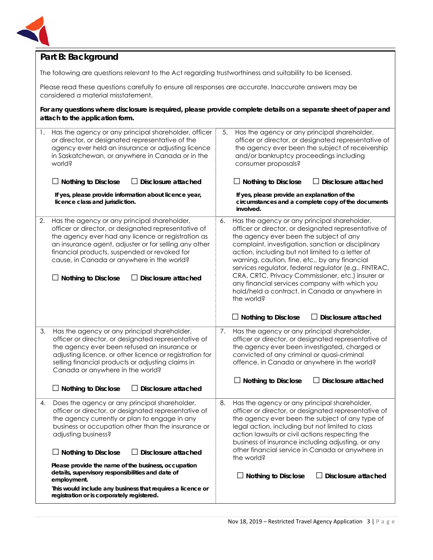

### **Part B: Background**

The following are questions relevant to the Act regarding trustworthiness and suitability to be licensed.

Please read these questions carefully to ensure all responses are accurate. Inaccurate answers may be considered a material misstatement.

**For any questions where disclosure is required, please provide complete details on a separate sheet of paper and attach to the application form.**

| 1. | Has the agency or any principal shareholder, officer<br>or director, or designated representative of the<br>agency ever held an insurance or adjusting licence<br>in Saskatchewan, or anywhere in Canada or in the<br>world?                                                                                                                                                                                | 5.<br>Has the agency or any principal shareholder,<br>officer or director, or designated representative of<br>the agency ever been the subject of receivership<br>and/or bankruptcy proceedings including<br>consumer proposals?                                                                                                                                                                                                                                                                                                                 |
|----|-------------------------------------------------------------------------------------------------------------------------------------------------------------------------------------------------------------------------------------------------------------------------------------------------------------------------------------------------------------------------------------------------------------|--------------------------------------------------------------------------------------------------------------------------------------------------------------------------------------------------------------------------------------------------------------------------------------------------------------------------------------------------------------------------------------------------------------------------------------------------------------------------------------------------------------------------------------------------|
|    | Disclosure attached<br>$\Box$ Nothing to Disclose                                                                                                                                                                                                                                                                                                                                                           | $\Box$ Nothing to Disclose<br>Disclosure attached<br>ப                                                                                                                                                                                                                                                                                                                                                                                                                                                                                           |
|    | If yes, please provide information about licence year,<br>licence class and jurisdiction.                                                                                                                                                                                                                                                                                                                   | If yes, please provide an explanation of the<br>circumstances and a complete copy of the documents<br>involved.                                                                                                                                                                                                                                                                                                                                                                                                                                  |
| 2. | Has the agency or any principal shareholder,<br>officer or director, or designated representative of<br>the agency ever had any licence or registration as<br>an insurance agent, adjuster or for selling any other<br>financial products, suspended or revoked for<br>cause, in Canada or anywhere in the world?<br><b>Nothing to Disclose</b><br>Disclosure attached                                      | Has the agency or any principal shareholder,<br>6.<br>officer or director, or designated representative of<br>the agency ever been the subject of any<br>complaint, investigation, sanction or disciplinary<br>action, including but not limited to a letter of<br>warning, caution, fine, etc., by any financial<br>services regulator, federal regulator (e.g., FINTRAC,<br>CRA, CRTC, Privacy Commissioner, etc.) insurer or<br>any financial services company with which you<br>hold/held a contract, in Canada or anywhere in<br>the world? |
|    |                                                                                                                                                                                                                                                                                                                                                                                                             | $\Box$ Nothing to Disclose<br>$\Box$ Disclosure attached                                                                                                                                                                                                                                                                                                                                                                                                                                                                                         |
| 3. | Has the agency or any principal shareholder,<br>officer or director, or designated representative of<br>the agency ever been refused an insurance or<br>adjusting licence, or other licence or registration for<br>selling financial products or adjusting claims in<br>Canada or anywhere in the world?                                                                                                    | Has the agency or any principal shareholder,<br>7.<br>officer or director, or designated representative of<br>the agency ever been investigated, charged or<br>convicted of any criminal or quasi-criminal<br>offence, in Canada or anywhere in the world?<br>$\Box$ Nothing to Disclose<br><b>Disclosure attached</b>                                                                                                                                                                                                                           |
|    | $\Box$ Nothing to Disclose<br><b>Disclosure attached</b>                                                                                                                                                                                                                                                                                                                                                    |                                                                                                                                                                                                                                                                                                                                                                                                                                                                                                                                                  |
| 4. | Does the agency or any principal shareholder,<br>officer or director, or designated representative of<br>the agency currently or plan to engage in any<br>business or occupation other than the insurance or<br>adjusting business?<br>$\Box$ Nothing to Disclose<br>$\Box$ Disclosure attached<br>Please provide the name of the business, occupation<br>details, supervisory responsibilities and date of | Has the agency or any principal shareholder,<br>8.<br>officer or director, or designated representative of<br>the agency ever been the subject of any type of<br>legal action, including but not limited to class<br>action lawsuits or civil actions respecting the<br>business of insurance including adjusting, or any<br>other financial service in Canada or anywhere in<br>the world?                                                                                                                                                      |
|    | employment.<br>This would include any business that requires a licence or<br>registration or is corporately registered.                                                                                                                                                                                                                                                                                     | $\Box$ Disclosure attached<br>$\Box$ Nothing to Disclose                                                                                                                                                                                                                                                                                                                                                                                                                                                                                         |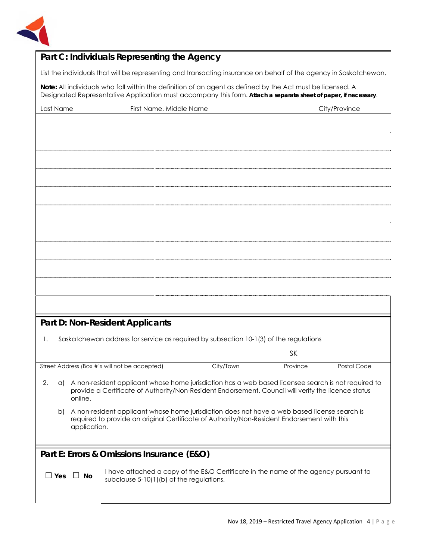

## **Part C: Individuals Representing the Agency**

List the individuals that will be representing and transacting insurance on behalf of the agency in Saskatchewan.

**Note:** All individuals who fall within the definition of an agent as defined by the Act must be licensed. A Designated Representative Application must accompany this form. **Attach a separate sheet of paper, if necessary**.

| Last Name  | First Name, Middle Name                                                                                                                                                                                                  | City/Province |             |
|------------|--------------------------------------------------------------------------------------------------------------------------------------------------------------------------------------------------------------------------|---------------|-------------|
|            |                                                                                                                                                                                                                          |               |             |
|            |                                                                                                                                                                                                                          |               |             |
|            |                                                                                                                                                                                                                          |               |             |
|            |                                                                                                                                                                                                                          |               |             |
|            |                                                                                                                                                                                                                          |               |             |
|            |                                                                                                                                                                                                                          |               |             |
|            |                                                                                                                                                                                                                          |               |             |
|            |                                                                                                                                                                                                                          |               |             |
|            |                                                                                                                                                                                                                          |               |             |
|            |                                                                                                                                                                                                                          |               |             |
|            |                                                                                                                                                                                                                          |               |             |
|            |                                                                                                                                                                                                                          |               |             |
|            |                                                                                                                                                                                                                          |               |             |
|            | <b>Part D: Non-Resident Applicants</b>                                                                                                                                                                                   |               |             |
| 1.         | Saskatchewan address for service as required by subsection 10-1(3) of the regulations                                                                                                                                    |               |             |
|            |                                                                                                                                                                                                                          | <b>SK</b>     |             |
|            | Street Address (Box #'s will not be accepted)<br>City/Town                                                                                                                                                               | Province      | Postal Code |
| 2.         | a) A non-resident applicant whose home jurisdiction has a web based licensee search is not required to<br>provide a Certificate of Authority/Non-Resident Endorsement. Council will verify the licence status<br>online. |               |             |
| b)         | A non-resident applicant whose home jurisdiction does not have a web based license search is<br>required to provide an original Certificate of Authority/Non-Resident Endorsement with this<br>application.              |               |             |
|            |                                                                                                                                                                                                                          |               |             |
|            | Part E: Errors & Omissions Insurance (E&O)                                                                                                                                                                               |               |             |
| $\Box$ Yes | I have attached a copy of the E&O Certificate in the name of the agency pursuant to<br>$\Box$ No<br>subclause 5-10(1)(b) of the regulations.                                                                             |               |             |
|            |                                                                                                                                                                                                                          |               |             |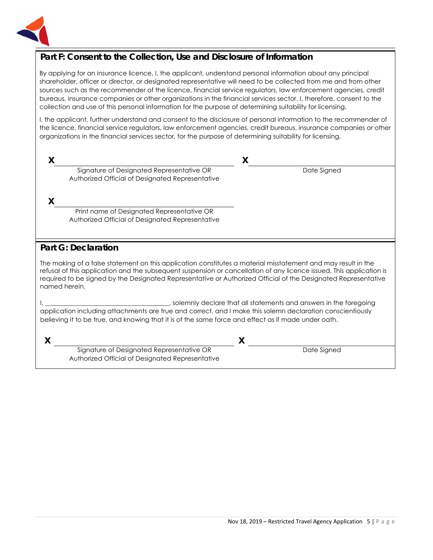

#### **Part F: Consent to the Collection, Use and Disclosure of Information**

By applying for an insurance licence, I, the applicant, understand personal information about any principal shareholder, officer or director, or designated representative will need to be collected from me and from other sources such as the recommender of the licence, financial service regulators, law enforcement agencies, credit bureaus, insurance companies or other organizations in the financial services sector. I, therefore, consent to the collection and use of this personal information for the purpose of determining suitability for licensing.

I, the applicant, further understand and consent to the disclosure of personal information to the recommender of the licence, financial service regulators, law enforcement agencies, credit bureaus, insurance companies or other organizations in the financial services sector, for the purpose of determining suitability for licensing.

| Signature of Designated Representative OR<br>Authorized Official of Designated Representative | Date Signed |  |
|-----------------------------------------------------------------------------------------------|-------------|--|
|                                                                                               |             |  |

Print name of Designated Representative OR Authorized Official of Designated Representative

Signature of Designated Representative OR Authorized Official of Designated Representative

#### **Part G: Declaration**

The making of a false statement on this application constitutes a material misstatement and may result in the refusal of this application and the subsequent suspension or cancellation of any licence issued. This application is required to be signed by the Designated Representative or Authorized Official of the Designated Representative named herein.

I, \_\_\_\_\_\_\_\_\_\_\_\_\_\_\_\_\_\_\_\_\_\_\_\_\_\_\_\_\_\_\_\_\_\_\_\_\_\_\_, solemnly declare that all statements and answers in the foregoing application including attachments are true and correct, and I make this solemn declaration conscientiously believing it to be true, and knowing that it is of the same force and effect as if made under oath.

**X X**

Date Signed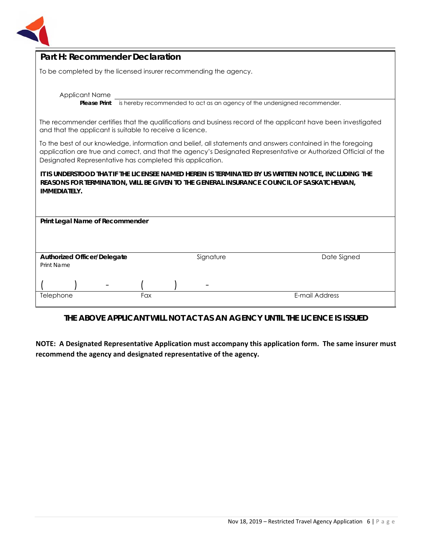

| Part H: Recommender Declaration                                                                                                                                                                                                                                                             |  |  |  |
|---------------------------------------------------------------------------------------------------------------------------------------------------------------------------------------------------------------------------------------------------------------------------------------------|--|--|--|
| To be completed by the licensed insurer recommending the agency.                                                                                                                                                                                                                            |  |  |  |
| <b>Applicant Name</b><br>is hereby recommended to act as an agency of the undersigned recommender.<br><b>Please Print</b>                                                                                                                                                                   |  |  |  |
| The recommender certifies that the qualifications and business record of the applicant have been investigated<br>and that the applicant is suitable to receive a licence.                                                                                                                   |  |  |  |
| To the best of our knowledge, information and belief, all statements and answers contained in the foregoing<br>application are true and correct, and that the agency's Designated Representative or Authorized Official of the<br>Designated Representative has completed this application. |  |  |  |
| IT IS UNDERSTOOD THAT IF THE LICENSEE NAMED HEREIN IS TERMINATED BY US WRITTEN NOTICE, INCLUDING THE<br>REASONS FOR TERMINATION, WILL BE GIVEN TO THE GENERAL INSURANCE COUNCIL OF SASKATCHEWAN,<br><b>IMMEDIATELY.</b>                                                                     |  |  |  |
| Print Legal Name of Recommender                                                                                                                                                                                                                                                             |  |  |  |
| Date Signed<br><b>Authorized Officer/Delegate</b><br>Signature<br>Print Name                                                                                                                                                                                                                |  |  |  |
|                                                                                                                                                                                                                                                                                             |  |  |  |
| E-mail Address<br>Telephone<br>Fax                                                                                                                                                                                                                                                          |  |  |  |

#### **THE ABOVE APPLICANT WILL NOT ACT AS AN AGENCY UNTIL THE LICENCE IS ISSUED**

**NOTE: A Designated Representative Application must accompany this application form. The same insurer must recommend the agency and designated representative of the agency.**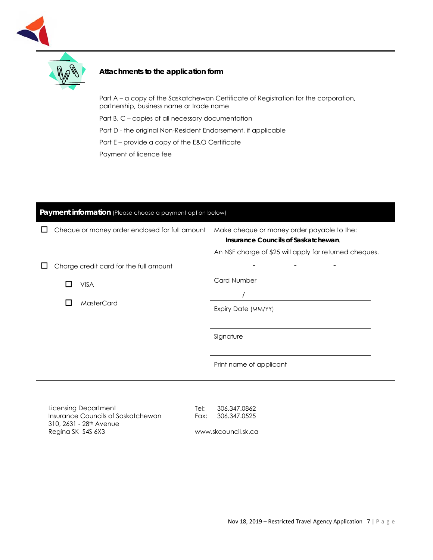

Payment of licence fee

| Payment information (Please choose a payment option below) |  |                                                |                                                                                                                                             |
|------------------------------------------------------------|--|------------------------------------------------|---------------------------------------------------------------------------------------------------------------------------------------------|
|                                                            |  | Cheque or money order enclosed for full amount | Make cheque or money order payable to the:<br>Insurance Councils of Saskatchewan.<br>An NSF charge of \$25 will apply for returned cheques. |
|                                                            |  | Charge credit card for the full amount         |                                                                                                                                             |
|                                                            |  | <b>VISA</b>                                    | <b>Card Number</b>                                                                                                                          |
|                                                            |  | <b>MasterCard</b>                              | Expiry Date (MM/YY)                                                                                                                         |
|                                                            |  |                                                |                                                                                                                                             |
|                                                            |  |                                                | Signature                                                                                                                                   |
|                                                            |  |                                                | Print name of applicant                                                                                                                     |

Licensing Department Insurance Councils of Saskatchewan 310, 2631 - 28th Avenue Regina SK S4S 6X3

Tel: 306.347.0862 Fax: 306.347.0525

www.skcouncil.sk.ca